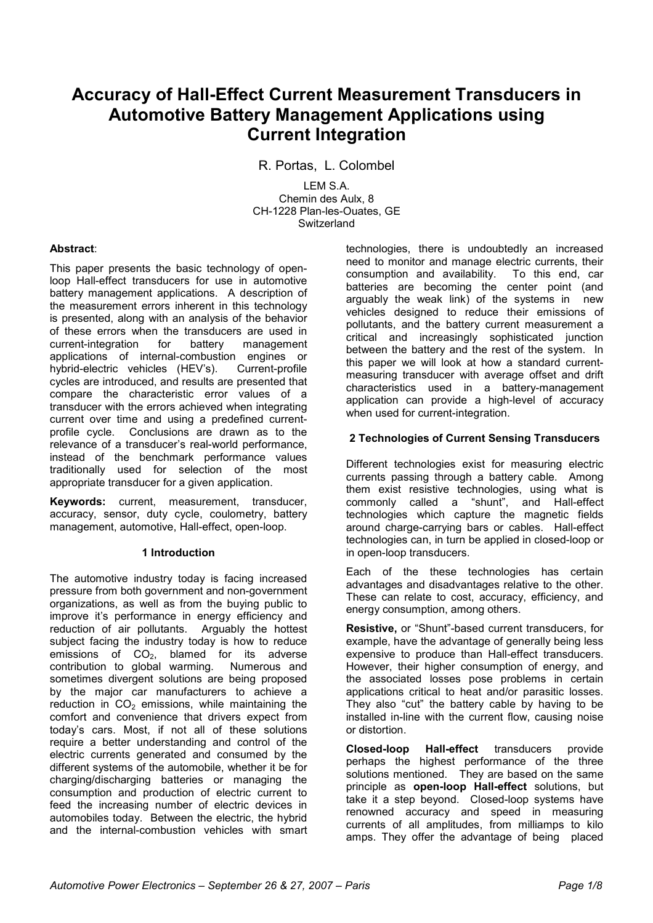# Accuracy of Hall-Effect Current Measurement Transducers in Automotive Battery Management Applications using Current Integration

R. Portas, L. Colombel

LEM S.A. Chemin des Aulx, 8 CH-1228 Plan-les-Ouates, GE **Switzerland** 

# Abstract:

This paper presents the basic technology of openloop Hall-effect transducers for use in automotive battery management applications. A description of the measurement errors inherent in this technology is presented, along with an analysis of the behavior of these errors when the transducers are used in current-integration for battery management applications of internal-combustion engines or hybrid-electric vehicles (HEV's). Current-profile cycles are introduced, and results are presented that compare the characteristic error values of a transducer with the errors achieved when integrating current over time and using a predefined currentprofile cycle. Conclusions are drawn as to the relevance of a transducer's real-world performance, instead of the benchmark performance values traditionally used for selection of the most appropriate transducer for a given application.

Keywords: current, measurement, transducer, accuracy, sensor, duty cycle, coulometry, battery management, automotive, Hall-effect, open-loop.

# 1 Introduction

The automotive industry today is facing increased pressure from both government and non-government organizations, as well as from the buying public to improve it's performance in energy efficiency and reduction of air pollutants. Arguably the hottest subject facing the industry today is how to reduce emissions of  $CO<sub>2</sub>$ , blamed for its adverse contribution to global warming. Numerous and contribution to global warming. sometimes divergent solutions are being proposed by the major car manufacturers to achieve a reduction in  $CO<sub>2</sub>$  emissions, while maintaining the comfort and convenience that drivers expect from today's cars. Most, if not all of these solutions require a better understanding and control of the electric currents generated and consumed by the different systems of the automobile, whether it be for charging/discharging batteries or managing the consumption and production of electric current to feed the increasing number of electric devices in automobiles today. Between the electric, the hybrid and the internal-combustion vehicles with smart

technologies, there is undoubtedly an increased need to monitor and manage electric currents, their consumption and availability. To this end, car batteries are becoming the center point (and arguably the weak link) of the systems in new vehicles designed to reduce their emissions of pollutants, and the battery current measurement a critical and increasingly sophisticated junction between the battery and the rest of the system. In this paper we will look at how a standard currentmeasuring transducer with average offset and drift characteristics used in a battery-management application can provide a high-level of accuracy when used for current-integration.

# 2 Technologies of Current Sensing Transducers

Different technologies exist for measuring electric currents passing through a battery cable. Among them exist resistive technologies, using what is commonly called a "shunt", and Hall-effect technologies which capture the magnetic fields around charge-carrying bars or cables. Hall-effect technologies can, in turn be applied in closed-loop or in open-loop transducers.

Each of the these technologies has certain advantages and disadvantages relative to the other. These can relate to cost, accuracy, efficiency, and energy consumption, among others.

Resistive, or "Shunt"-based current transducers, for example, have the advantage of generally being less expensive to produce than Hall-effect transducers. However, their higher consumption of energy, and the associated losses pose problems in certain applications critical to heat and/or parasitic losses. They also "cut" the battery cable by having to be installed in-line with the current flow, causing noise or distortion.

Closed-loop Hall-effect transducers provide perhaps the highest performance of the three solutions mentioned. They are based on the same principle as open-loop Hall-effect solutions, but take it a step beyond. Closed-loop systems have renowned accuracy and speed in measuring currents of all amplitudes, from milliamps to kilo amps. They offer the advantage of being placed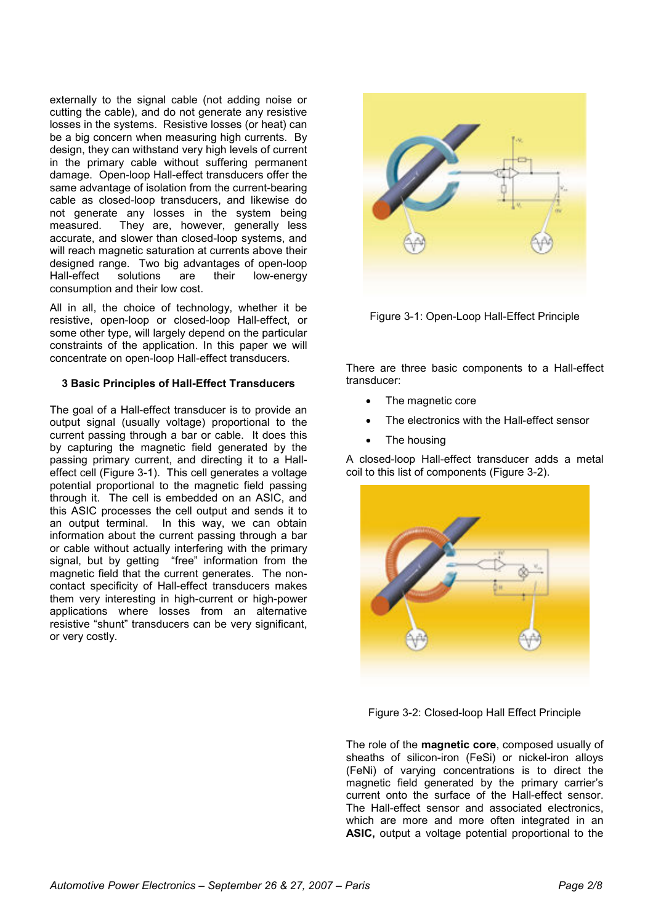externally to the signal cable (not adding noise or cutting the cable), and do not generate any resistive losses in the systems. Resistive losses (or heat) can be a big concern when measuring high currents. By design, they can withstand very high levels of current in the primary cable without suffering permanent damage. Open-loop Hall-effect transducers offer the same advantage of isolation from the current-bearing cable as closed-loop transducers, and likewise do not generate any losses in the system being measured. They are, however, generally less accurate, and slower than closed-loop systems, and will reach magnetic saturation at currents above their designed range. Two big advantages of open-loop<br>Hall-effect solutions are their low-energy low-energy consumption and their low cost.

All in all, the choice of technology, whether it be resistive, open-loop or closed-loop Hall-effect, or some other type, will largely depend on the particular constraints of the application. In this paper we will concentrate on open-loop Hall-effect transducers.

## 3 Basic Principles of Hall-Effect Transducers

The goal of a Hall-effect transducer is to provide an output signal (usually voltage) proportional to the current passing through a bar or cable. It does this by capturing the magnetic field generated by the passing primary current, and directing it to a Halleffect cell (Figure 3-1). This cell generates a voltage potential proportional to the magnetic field passing through it. The cell is embedded on an ASIC, and this ASIC processes the cell output and sends it to an output terminal. In this way, we can obtain information about the current passing through a bar or cable without actually interfering with the primary signal, but by getting "free" information from the magnetic field that the current generates. The noncontact specificity of Hall-effect transducers makes them very interesting in high-current or high-power applications where losses from an alternative resistive "shunt" transducers can be very significant, or very costly.



Figure 3-1: Open-Loop Hall-Effect Principle

There are three basic components to a Hall-effect transducer:

- The magnetic core
- The electronics with the Hall-effect sensor
- The housing

A closed-loop Hall-effect transducer adds a metal coil to this list of components (Figure 3-2).



Figure 3-2: Closed-loop Hall Effect Principle

The role of the magnetic core, composed usually of sheaths of silicon-iron (FeSi) or nickel-iron alloys (FeNi) of varying concentrations is to direct the magnetic field generated by the primary carrier's current onto the surface of the Hall-effect sensor. The Hall-effect sensor and associated electronics, which are more and more often integrated in an ASIC, output a voltage potential proportional to the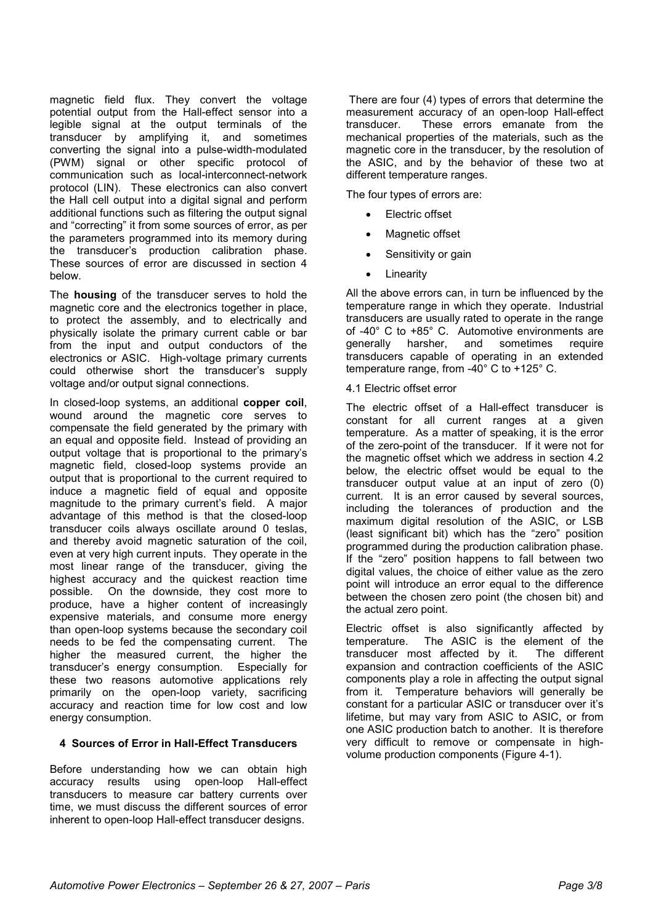magnetic field flux. They convert the voltage potential output from the Hall-effect sensor into a legible signal at the output terminals of the transducer by amplifying it, and sometimes converting the signal into a pulse-width-modulated (PWM) signal or other specific protocol of communication such as local-interconnect-network protocol (LIN). These electronics can also convert the Hall cell output into a digital signal and perform additional functions such as filtering the output signal and "correcting" it from some sources of error, as per the parameters programmed into its memory during the transducer's production calibration phase. These sources of error are discussed in section 4 below.

The **housing** of the transducer serves to hold the magnetic core and the electronics together in place, to protect the assembly, and to electrically and physically isolate the primary current cable or bar from the input and output conductors of the electronics or ASIC. High-voltage primary currents could otherwise short the transducer's supply voltage and/or output signal connections.

In closed-loop systems, an additional copper coil. wound around the magnetic core serves to compensate the field generated by the primary with an equal and opposite field. Instead of providing an output voltage that is proportional to the primary's magnetic field, closed-loop systems provide an output that is proportional to the current required to induce a magnetic field of equal and opposite magnitude to the primary current's field. A major advantage of this method is that the closed-loop transducer coils always oscillate around 0 teslas, and thereby avoid magnetic saturation of the coil, even at very high current inputs. They operate in the most linear range of the transducer, giving the highest accuracy and the quickest reaction time possible. On the downside, they cost more to produce, have a higher content of increasingly expensive materials, and consume more energy than open-loop systems because the secondary coil needs to be fed the compensating current. The higher the measured current, the higher the transducer's energy consumption. Especially for these two reasons automotive applications rely primarily on the open-loop variety, sacrificing accuracy and reaction time for low cost and low energy consumption.

# 4 Sources of Error in Hall-Effect Transducers

Before understanding how we can obtain high accuracy results using open-loop Hall-effect transducers to measure car battery currents over time, we must discuss the different sources of error inherent to open-loop Hall-effect transducer designs.

 There are four (4) types of errors that determine the measurement accuracy of an open-loop Hall-effect<br>transducer. These errors emanate from the These errors emanate from the mechanical properties of the materials, such as the magnetic core in the transducer, by the resolution of the ASIC, and by the behavior of these two at different temperature ranges.

The four types of errors are:

- **Electric offset**
- Magnetic offset
- Sensitivity or gain
- **Linearity**

All the above errors can, in turn be influenced by the temperature range in which they operate. Industrial transducers are usually rated to operate in the range of -40° C to +85° C. Automotive environments are generally harsher, and sometimes require transducers capable of operating in an extended temperature range, from -40° C to +125° C.

## 4.1 Electric offset error

The electric offset of a Hall-effect transducer is constant for all current ranges at a given temperature. As a matter of speaking, it is the error of the zero-point of the transducer. If it were not for the magnetic offset which we address in section 4.2 below, the electric offset would be equal to the transducer output value at an input of zero (0) current. It is an error caused by several sources, including the tolerances of production and the maximum digital resolution of the ASIC, or LSB (least significant bit) which has the "zero" position programmed during the production calibration phase. If the "zero" position happens to fall between two digital values, the choice of either value as the zero point will introduce an error equal to the difference between the chosen zero point (the chosen bit) and the actual zero point.

Electric offset is also significantly affected by temperature. The ASIC is the element of the transducer most affected by it. The different transducer most affected by it. expansion and contraction coefficients of the ASIC components play a role in affecting the output signal from it. Temperature behaviors will generally be constant for a particular ASIC or transducer over it's lifetime, but may vary from ASIC to ASIC, or from one ASIC production batch to another. It is therefore very difficult to remove or compensate in highvolume production components (Figure 4-1).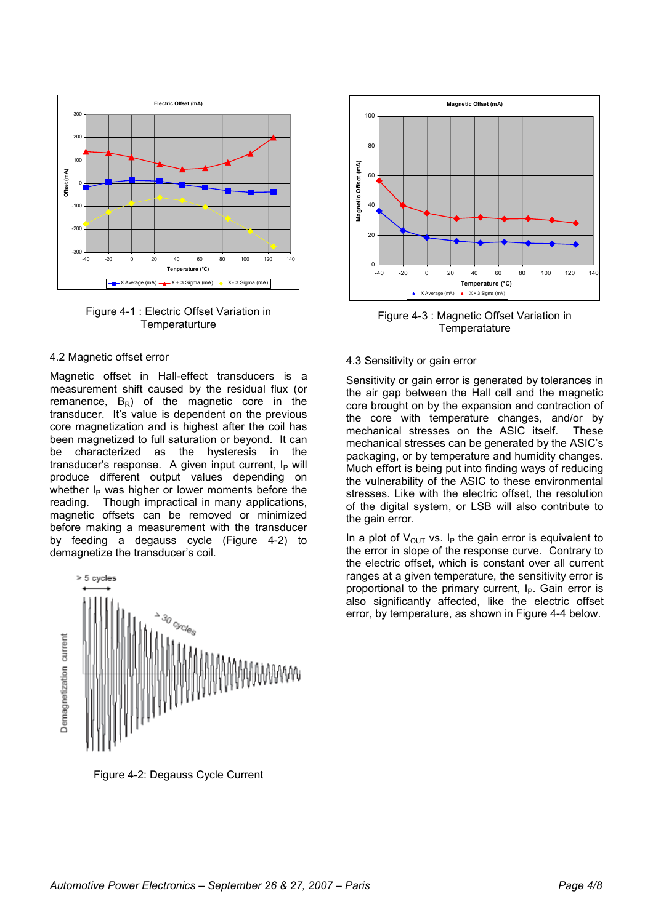

Figure 4-1 : Electric Offset Variation in **Temperaturture** 

#### 4.2 Magnetic offset error

Magnetic offset in Hall-effect transducers is a measurement shift caused by the residual flux (or remanence,  $B_R$ ) of the magnetic core in the transducer. It's value is dependent on the previous core magnetization and is highest after the coil has been magnetized to full saturation or beyond. It can be characterized as the hysteresis in the transducer's response. A given input current,  $I_P$  will produce different output values depending on whether  $I_P$  was higher or lower moments before the reading. Though impractical in many applications, magnetic offsets can be removed or minimized before making a measurement with the transducer by feeding a degauss cycle (Figure 4-2) to demagnetize the transducer's coil.



Figure 4-2: Degauss Cycle Current



Figure 4-3 : Magnetic Offset Variation in **Temperatature** 

#### 4.3 Sensitivity or gain error

Sensitivity or gain error is generated by tolerances in the air gap between the Hall cell and the magnetic core brought on by the expansion and contraction of the core with temperature changes, and/or by mechanical stresses on the ASIC itself. These mechanical stresses can be generated by the ASIC's packaging, or by temperature and humidity changes. Much effort is being put into finding ways of reducing the vulnerability of the ASIC to these environmental stresses. Like with the electric offset, the resolution of the digital system, or LSB will also contribute to the gain error.

In a plot of  $V_{\text{OUT}}$  vs. I<sub>P</sub> the gain error is equivalent to the error in slope of the response curve. Contrary to the electric offset, which is constant over all current ranges at a given temperature, the sensitivity error is proportional to the primary current,  $I<sub>P</sub>$ . Gain error is also significantly affected, like the electric offset error, by temperature, as shown in Figure 4-4 below.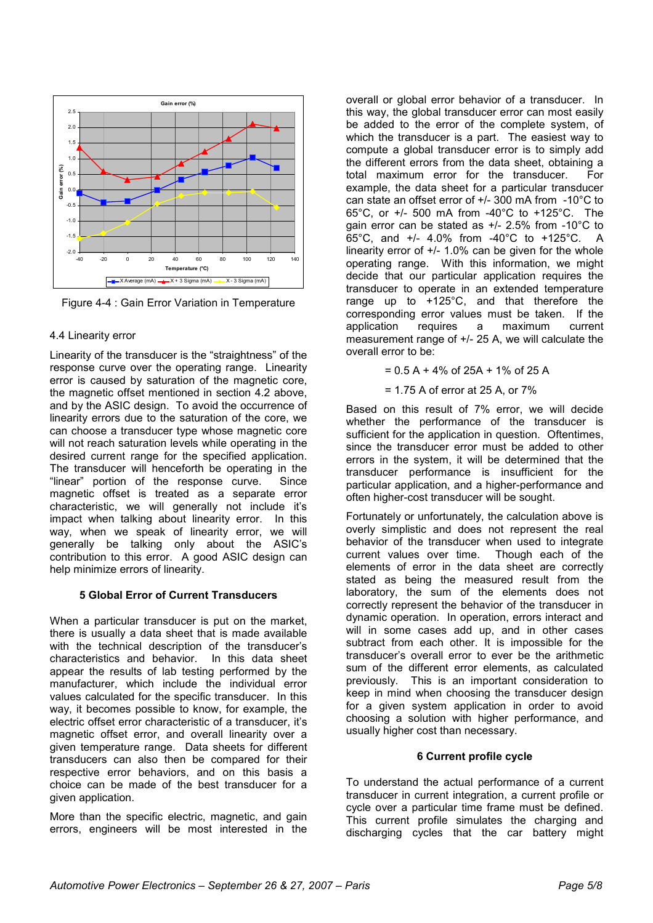

Figure 4-4 : Gain Error Variation in Temperature

# 4.4 Linearity error

Linearity of the transducer is the "straightness" of the response curve over the operating range. Linearity error is caused by saturation of the magnetic core, the magnetic offset mentioned in section 4.2 above, and by the ASIC design. To avoid the occurrence of linearity errors due to the saturation of the core, we can choose a transducer type whose magnetic core will not reach saturation levels while operating in the desired current range for the specified application. The transducer will henceforth be operating in the "linear" portion of the response curve. Since magnetic offset is treated as a separate error characteristic, we will generally not include it's impact when talking about linearity error. In this way, when we speak of linearity error, we will generally be talking only about the ASIC's contribution to this error. A good ASIC design can help minimize errors of linearity.

# 5 Global Error of Current Transducers

When a particular transducer is put on the market, there is usually a data sheet that is made available with the technical description of the transducer's characteristics and behavior. In this data sheet appear the results of lab testing performed by the manufacturer, which include the individual error values calculated for the specific transducer. In this way, it becomes possible to know, for example, the electric offset error characteristic of a transducer, it's magnetic offset error, and overall linearity over a given temperature range. Data sheets for different transducers can also then be compared for their respective error behaviors, and on this basis a choice can be made of the best transducer for a given application.

More than the specific electric, magnetic, and gain errors, engineers will be most interested in the

overall or global error behavior of a transducer. In this way, the global transducer error can most easily be added to the error of the complete system, of which the transducer is a part. The easiest way to compute a global transducer error is to simply add the different errors from the data sheet, obtaining a total maximum error for the transducer. For example, the data sheet for a particular transducer can state an offset error of +/- 300 mA from -10°C to 65°C, or +/- 500 mA from -40°C to +125°C. The gain error can be stated as  $+/- 2.5\%$  from  $-10\degree$ C to 65°C, and +/- 4.0% from -40°C to +125°C. A linearity error of +/- 1.0% can be given for the whole operating range. With this information, we might decide that our particular application requires the transducer to operate in an extended temperature range up to +125°C, and that therefore the corresponding error values must be taken. If the application requires a maximum current measurement range of +/- 25 A, we will calculate the overall error to be:

 $= 0.5 A + 4\%$  of 25A + 1% of 25 A

= 1.75 A of error at 25 A, or 7%

Based on this result of 7% error, we will decide whether the performance of the transducer is sufficient for the application in question. Oftentimes, since the transducer error must be added to other errors in the system, it will be determined that the transducer performance is insufficient for the particular application, and a higher-performance and often higher-cost transducer will be sought.

Fortunately or unfortunately, the calculation above is overly simplistic and does not represent the real behavior of the transducer when used to integrate current values over time. Though each of the elements of error in the data sheet are correctly stated as being the measured result from the laboratory, the sum of the elements does not correctly represent the behavior of the transducer in dynamic operation. In operation, errors interact and will in some cases add up, and in other cases subtract from each other. It is impossible for the transducer's overall error to ever be the arithmetic sum of the different error elements, as calculated previously. This is an important consideration to keep in mind when choosing the transducer design for a given system application in order to avoid choosing a solution with higher performance, and usually higher cost than necessary.

# 6 Current profile cycle

To understand the actual performance of a current transducer in current integration, a current profile or cycle over a particular time frame must be defined. This current profile simulates the charging and discharging cycles that the car battery might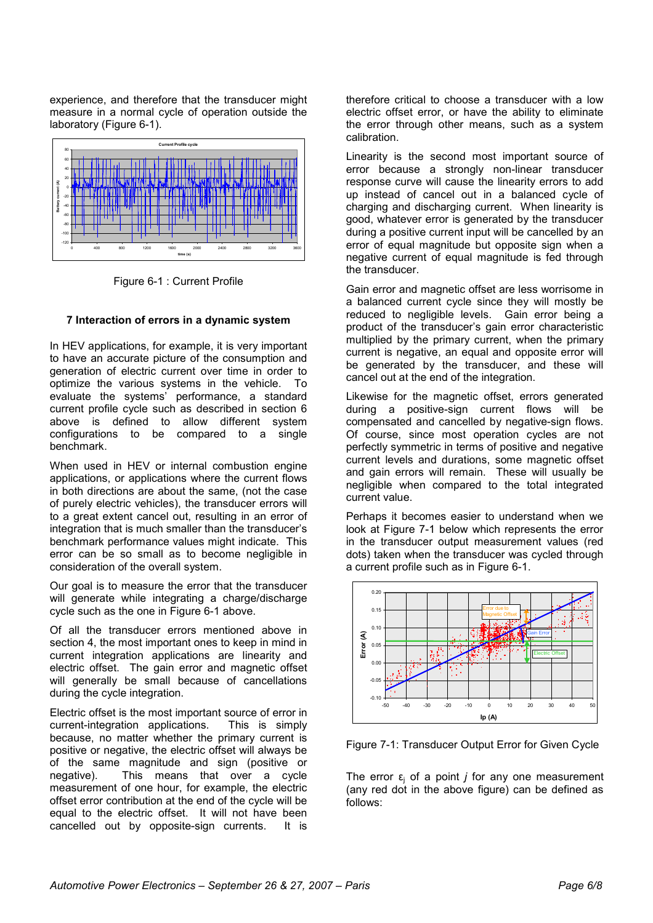experience, and therefore that the transducer might measure in a normal cycle of operation outside the laboratory (Figure 6-1).



Figure 6-1 : Current Profile

# 7 Interaction of errors in a dynamic system

In HEV applications, for example, it is very important to have an accurate picture of the consumption and generation of electric current over time in order to optimize the various systems in the vehicle. To evaluate the systems' performance, a standard current profile cycle such as described in section 6 above is defined to allow different system configurations to be compared to a single benchmark.

When used in HEV or internal combustion engine applications, or applications where the current flows in both directions are about the same, (not the case of purely electric vehicles), the transducer errors will to a great extent cancel out, resulting in an error of integration that is much smaller than the transducer's benchmark performance values might indicate. This error can be so small as to become negligible in consideration of the overall system.

Our goal is to measure the error that the transducer will generate while integrating a charge/discharge cycle such as the one in Figure 6-1 above.

Of all the transducer errors mentioned above in section 4, the most important ones to keep in mind in current integration applications are linearity and electric offset. The gain error and magnetic offset will generally be small because of cancellations during the cycle integration.

Electric offset is the most important source of error in current-integration applications. This is simply because, no matter whether the primary current is positive or negative, the electric offset will always be of the same magnitude and sign (positive or negative). This means that over a cycle measurement of one hour, for example, the electric offset error contribution at the end of the cycle will be equal to the electric offset. It will not have been cancelled out by opposite-sign currents. It is

therefore critical to choose a transducer with a low electric offset error, or have the ability to eliminate the error through other means, such as a system calibration.

Linearity is the second most important source of error because a strongly non-linear transducer response curve will cause the linearity errors to add up instead of cancel out in a balanced cycle of charging and discharging current. When linearity is good, whatever error is generated by the transducer during a positive current input will be cancelled by an error of equal magnitude but opposite sign when a negative current of equal magnitude is fed through the transducer.

Gain error and magnetic offset are less worrisome in a balanced current cycle since they will mostly be reduced to negligible levels. Gain error being a product of the transducer's gain error characteristic multiplied by the primary current, when the primary current is negative, an equal and opposite error will be generated by the transducer, and these will cancel out at the end of the integration.

Likewise for the magnetic offset, errors generated during a positive-sign current flows will be compensated and cancelled by negative-sign flows. Of course, since most operation cycles are not perfectly symmetric in terms of positive and negative current levels and durations, some magnetic offset and gain errors will remain. These will usually be negligible when compared to the total integrated current value.

Perhaps it becomes easier to understand when we look at Figure 7-1 below which represents the error in the transducer output measurement values (red dots) taken when the transducer was cycled through a current profile such as in Figure 6-1.



Figure 7-1: Transducer Output Error for Given Cycle

The error  $\varepsilon_j$  of a point *j* for any one measurement (any red dot in the above figure) can be defined as follows: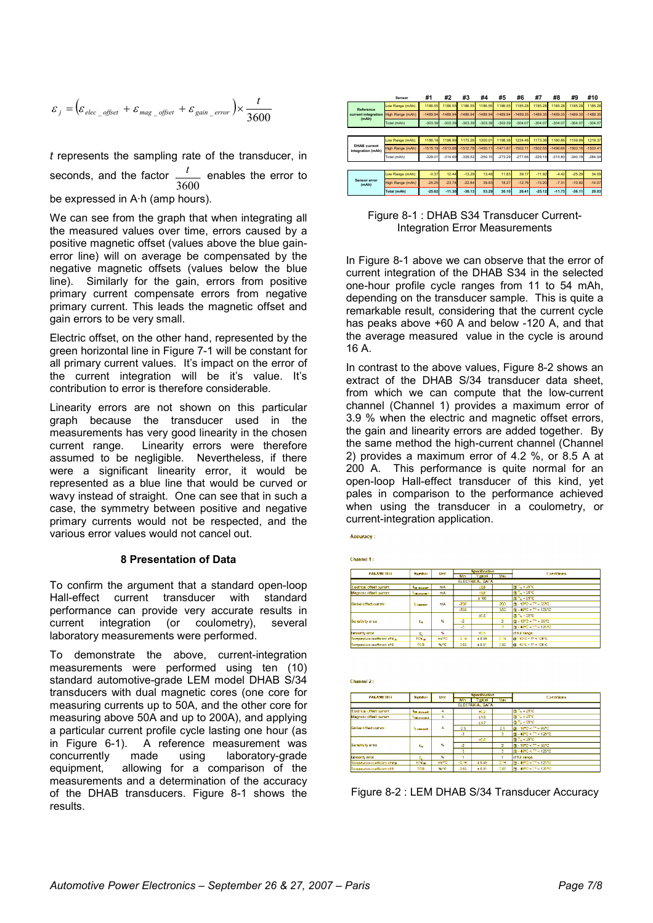$$
\varepsilon_{j} = \left(\varepsilon_{elec\_offset} + \varepsilon_{mag\_offset} + \varepsilon_{gain\_error}\right) \times \frac{t}{3600}
$$

t represents the sampling rate of the transducer, in seconds, and the factor -3600  $\frac{t}{t}$  enables the error to be expressed in A·h (amp hours).

We can see from the graph that when integrating all the measured values over time, errors caused by a positive magnetic offset (values above the blue gainerror line) will on average be compensated by the negative magnetic offsets (values below the blue line). Similarly for the gain, errors from positive primary current compensate errors from negative primary current. This leads the magnetic offset and gain errors to be very small.

Electric offset, on the other hand, represented by the green horizontal line in Figure 7-1 will be constant for all primary current values. It's impact on the error of the current integration will be it's value. It's contribution to error is therefore considerable.

Linearity errors are not shown on this particular graph because the transducer used in the measurements has very good linearity in the chosen current range. Linearity errors were therefore assumed to be negligible. Nevertheless, if there were a significant linearity error, it would be represented as a blue line that would be curved or wavy instead of straight. One can see that in such a case, the symmetry between positive and negative primary currents would not be respected, and the various error values would not cancel out.

#### 8 Presentation of Data

To confirm the argument that a standard open-loop Hall-effect current transducer with standard performance can provide very accurate results in current integration (or coulometry), several laboratory measurements were performed.

To demonstrate the above, current-integration measurements were performed using ten (10) standard automotive-grade LEM model DHAB S/34 transducers with dual magnetic cores (one core for measuring currents up to 50A, and the other core for measuring above 50A and up to 200A), and applying a particular current profile cycle lasting one hour (as in Figure 6-1). A reference measurement was concurrently made using laboratory-grade equipment, allowing for a comparison of the measurements and a determination of the accuracy of the DHAB transducers. Figure 8-1 shows the results.

|                                           | Sensor           | #1         | #2         | #3         | #4         | #5         | #6         | #7         | #8         | #9         | #10        |
|-------------------------------------------|------------------|------------|------------|------------|------------|------------|------------|------------|------------|------------|------------|
| Reference<br>current integration<br>(mAh) | Low Range (mAh)  | 1186.55    | 1186.55    | 1186.55    | 1186.55    | 1186.55    | 1185.28    | 1185.28    | 1185.28    | 1185.28    | 1185.28    |
|                                           | High Range (mAh) | $-1489.94$ | $-1489.94$ | $-1489.94$ | $-1489.94$ | $-1489.94$ | $-1489.35$ | $-1489.35$ | $-1489.35$ | $-1489.35$ | $-1489.35$ |
|                                           | Total (mAh)      | $-303.39$  | $-303.39$  | $-303.39$  | $-303.39$  | $-303.39$  | $-304.07$  | $-304.07$  | $-304.07$  | $-304.07$  | $-304.07$  |
|                                           |                  |            |            |            |            |            |            |            |            |            |            |
| <b>DHAB</b> current<br>integration (mAh)  | Low Range (mAh)  | 1186.18    | 1198.99    | 1173.26    | 1200.01    | 1198.38    | 1224.46    | 1173.36    | 1180.86    | 1159.99    | 1219.37    |
|                                           | High Range (mAh) | $-1515.19$ | $-1513.68$ | $-1512.78$ | $-1450.11$ | $-1471.67$ | $-1502.11$ | $-1502.55$ | $-1496.66$ | $-1500.16$ | $-1503.41$ |
|                                           | Total (mAh)      | $-329.01$  | $-314.69$  | $-339.52$  | $-250.10$  | $-273.29$  | $-277.66$  | $-329.19$  | $-315.80$  | $-340.18$  | $-284.04$  |
|                                           |                  |            |            |            |            |            |            |            |            |            |            |
| <b>Sensor error</b><br>(mAh)              | Low Range (mAh)  | $-0.37$    | 12.44      | $-13.29$   | 13.46      | 11.83      | 39.17      | $-11.92$   | $-4.42$    | $-25.29$   | 34.09      |
|                                           | High Range (mAh) | $-25.25$   | $-23.74$   | $-22.84$   | 39.83      | 18.27      | $-12.76$   | $-13.20$   | $-7.31$    | $-10.82$   | $-14.07$   |
|                                           | Total (mAh)      | $-25.62$   | $-11.30$   | $-36.13$   | 53.29      | 30.10      | 26.41      | $-25.12$   | $-11.73$   | $-36.11$   | 20.03      |

Figure 8-1 : DHAB S34 Transducer Current-Integration Error Measurements

In Figure 8-1 above we can observe that the error of current integration of the DHAB S34 in the selected one-hour profile cycle ranges from 11 to 54 mAh, depending on the transducer sample. This is quite a remarkable result, considering that the current cycle has peaks above +60 A and below -120 A, and that the average measured value in the cycle is around 16 A.

In contrast to the above values, Figure 8-2 shows an extract of the DHAB S/34 transducer data sheet, from which we can compute that the low-current channel (Channel 1) provides a maximum error of 3.9 % when the electric and magnetic offset errors, the gain and linearity errors are added together. By the same method the high-current channel (Channel 2) provides a maximum error of 4.2 %, or 8.5 A at 200 A. This performance is quite normal for an open-loop Hall-effect transducer of this kind, yet pales in comparison to the performance achieved when using the transducer in a coulometry, or current-integration application.

| Channel 1:                     |                    |             |          |                        |            |                                      |
|--------------------------------|--------------------|-------------|----------|------------------------|------------|--------------------------------------|
| <b>PARAMETER</b>               | Symbol             | <b>Unit</b> |          | <b>Spacification</b>   |            |                                      |
|                                |                    |             | Min      | Typical                | <b>MAY</b> | <b>Conditions</b>                    |
|                                |                    |             |          | <b>ELECTRICAL DATA</b> |            |                                      |
| Electrical offset current      | <b>DE channel</b>  | mA          |          | 150                    |            | <b>SET. - 25°C</b>                   |
| Magnetic offset current        | <b>DELIVATION?</b> | mA          |          | 土地                     |            | 28 T. - 25°C                         |
|                                | <b>Conservati</b>  | mA          |          | ±160                   |            | $37 - 25^{\circ}$ C                  |
| Global offset current          |                    |             | -200     |                        | 200        | ■ 10°C <t' 55°c<="" <="" td=""></t'> |
|                                |                    |             | -350     |                        | 350        | & -40°C < T° < 125°C                 |
|                                |                    |             |          | $+0.5$                 |            | <b>B.T. - 25°C</b>                   |
| Sensitivity email              | £a                 | 魅           | 4        |                        | 2          | B - 10°C < T° < 55°C                 |
|                                |                    |             | $\Delta$ |                        | ä          | 图 - 40°C < T° < 125°C                |
| Linearity arror                | c.                 | x           |          | 40.5                   |            | of full range.                       |
| Temperature coefficient of Van | TCV <sub>m</sub>   | mM/FC       | $-0.14$  | ±0.05                  | 0.14       | @ -4010 < T1< 12810                  |
| Temperature coefficient of G   | TC <sub>3</sub>    | <b>SAFC</b> | -0.02    | ± 0.01                 | 0.02       | @ -40°C < T" < 125°C                 |

Accuracy:

Channel 2: PARAMETER Symbol Conditions Unit **DE COROLE DM atletes**  $\mathbf{A}$ **bal offset current Bancon** sitivity error  $\epsilon_{\rm g}$  $\mathbf{s}$